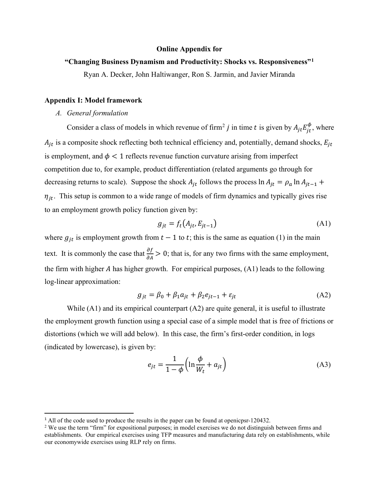### **Online Appendix for**

# **"Changing Business Dynamism and Productivity: Shocks vs. Responsiveness"[1](#page-0-0)**

Ryan A. Decker, John Haltiwanger, Ron S. Jarmin, and Javier Miranda

## **Appendix I: Model framework**

## *A. General formulation*

Consider a class of models in which revenue of firm<sup>[2](#page-0-1)</sup> *j* in time *t* is given by  $A_{jt}E_{jt}^{\phi}$ , where  $A_{jt}$  is a composite shock reflecting both technical efficiency and, potentially, demand shocks,  $E_{jt}$ is employment, and  $\phi$  < 1 reflects revenue function curvature arising from imperfect competition due to, for example, product differentiation (related arguments go through for decreasing returns to scale). Suppose the shock  $A_{jt}$  follows the process  $\ln A_{jt} = \rho_a \ln A_{jt-1} +$  $\eta_{it}$ . This setup is common to a wide range of models of firm dynamics and typically gives rise to an employment growth policy function given by:

$$
g_{jt} = f_t(A_{jt}, E_{jt-1})
$$
 (A1)

where  $g_{it}$  is employment growth from  $t - 1$  to t; this is the same as equation (1) in the main text. It is commonly the case that  $\frac{\partial f}{\partial A} > 0$ ; that is, for any two firms with the same employment, the firm with higher  $A$  has higher growth. For empirical purposes,  $(A1)$  leads to the following log-linear approximation:

$$
g_{jt} = \beta_0 + \beta_1 a_{jt} + \beta_2 e_{jt-1} + \varepsilon_{jt}
$$
 (A2)

While  $(A1)$  and its empirical counterpart  $(A2)$  are quite general, it is useful to illustrate the employment growth function using a special case of a simple model that is free of frictions or distortions (which we will add below). In this case, the firm's first-order condition, in logs (indicated by lowercase), is given by:

$$
e_{jt} = \frac{1}{1 - \phi} \left( \ln \frac{\phi}{W_t} + a_{jt} \right) \tag{A3}
$$

<span id="page-0-0"></span><sup>&</sup>lt;sup>1</sup> All of the code used to produce the results in the paper can be found at openicpsr-120432.

<span id="page-0-1"></span><sup>&</sup>lt;sup>2</sup> We use the term "firm" for expositional purposes; in model exercises we do not distinguish between firms and establishments. Our empirical exercises using TFP measures and manufacturing data rely on establishments, while our economywide exercises using RLP rely on firms.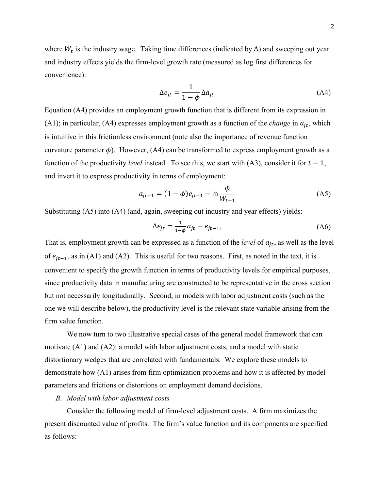where  $W_t$  is the industry wage. Taking time differences (indicated by  $\Delta$ ) and sweeping out year and industry effects yields the firm-level growth rate (measured as log first differences for convenience):

$$
\Delta e_{jt} = \frac{1}{1 - \phi} \Delta a_{jt} \tag{A4}
$$

Equation (A4) provides an employment growth function that is different from its expression in (A1); in particular, (A4) expresses employment growth as a function of the *change* in  $a_{jt}$ , which is intuitive in this frictionless environment (note also the importance of revenue function curvature parameter  $\phi$ ). However, (A4) can be transformed to express employment growth as a function of the productivity *level* instead. To see this, we start with (A3), consider it for  $t - 1$ , and invert it to express productivity in terms of employment:

$$
a_{jt-1} = (1 - \phi)e_{jt-1} - \ln \frac{\phi}{W_{t-1}}
$$
 (A5)

Substituting (A5) into (A4) (and, again, sweeping out industry and year effects) yields:

$$
\Delta e_{jt} = \frac{1}{1 - \phi} a_{jt} - e_{jt-1},\tag{A6}
$$

That is, employment growth can be expressed as a function of the *level* of  $a_{it}$ , as well as the level of  $e_{it-1}$ , as in (A1) and (A2). This is useful for two reasons. First, as noted in the text, it is convenient to specify the growth function in terms of productivity levels for empirical purposes, since productivity data in manufacturing are constructed to be representative in the cross section but not necessarily longitudinally. Second, in models with labor adjustment costs (such as the one we will describe below), the productivity level is the relevant state variable arising from the firm value function.

We now turn to two illustrative special cases of the general model framework that can motivate (A1) and (A2): a model with labor adjustment costs, and a model with static distortionary wedges that are correlated with fundamentals. We explore these models to demonstrate how (A1) arises from firm optimization problems and how it is affected by model parameters and frictions or distortions on employment demand decisions.

## *B. Model with labor adjustment costs*

Consider the following model of firm-level adjustment costs. A firm maximizes the present discounted value of profits. The firm's value function and its components are specified as follows: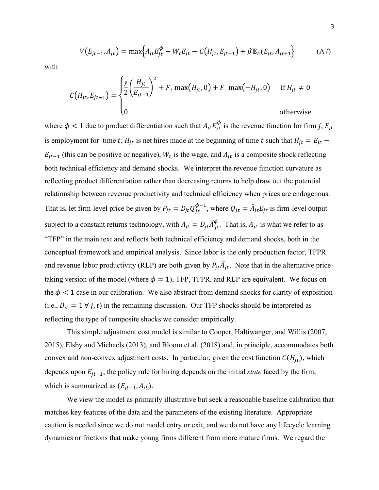$$
V(E_{jt-1}, A_{jt}) = \max\Big\{A_{jt}E_{jt}^{\phi} - W_t E_{jt} - C(H_{jt}, E_{jt-1}) + \beta \mathbb{E}_A(E_{jt}, A_{jt+1})\Big\}
$$
(A7)

with

$$
C(H_{jt}, E_{jt-1}) = \begin{cases} \frac{\gamma}{2} \left( \frac{H_{jt}}{E_{jt-1}} \right)^2 + F_+ \max(H_{jt}, 0) + F_- \max(-H_{jt}, 0) & \text{if } H_{jt} \neq 0\\ 0 & \text{otherwise} \end{cases}
$$

where  $\phi < 1$  due to product differentiation such that  $A_{jt} E_{jt}^{\phi}$  is the revenue function for firm j,  $E_{jt}$ is employment for time t,  $H_{jt}$  is net hires made at the beginning of time t such that  $H_{jt} = E_{jt}$  –  $E_{jt-1}$  (this can be positive or negative),  $W_t$  is the wage, and  $A_{jt}$  is a composite shock reflecting both technical efficiency and demand shocks. We interpret the revenue function curvature as reflecting product differentiation rather than decreasing returns to help draw out the potential relationship between revenue productivity and technical efficiency when prices are endogenous. That is, let firm-level price be given by  $P_{jt} = D_{jt} Q_{jt}^{\phi-1}$ , where  $Q_{jt} = \tilde{A}_{jt} E_{jt}$  is firm-level output subject to a constant returns technology, with  $A_{jt} = D_{jt} \tilde{A}_{jt}^{\phi}$ . That is,  $A_{jt}$  is what we refer to as "TFP" in the main text and reflects both technical efficiency and demand shocks, both in the conceptual framework and empirical analysis. Since labor is the only production factor, TFPR and revenue labor productivity (RLP) are both given by  $P_{jt}A_{jt}$ . Note that in the alternative pricetaking version of the model (where  $\phi = 1$ ), TFP, TFPR, and RLP are equivalent. We focus on the  $\phi$  < 1 case in our calibration. We also abstract from demand shocks for clarity of exposition (i.e.,  $D_{jt} = 1 \forall j, t$ ) in the remaining discussion. Our TFP shocks should be interpreted as reflecting the type of composite shocks we consider empirically.

This simple adjustment cost model is similar to Cooper, Haltiwanger, and Willis (2007, 2015), Elsby and Michaels (2013), and Bloom et al. (2018) and, in principle, accommodates both convex and non-convex adjustment costs. In particular, given the cost function  $C(H_{jt})$ , which depends upon  $E_{jt-1}$ , the policy rule for hiring depends on the initial *state* faced by the firm, which is summarized as  $(E_{jt-1}, A_{jt})$ .

We view the model as primarily illustrative but seek a reasonable baseline calibration that matches key features of the data and the parameters of the existing literature. Appropriate caution is needed since we do not model entry or exit, and we do not have any lifecycle learning dynamics or frictions that make young firms different from more mature firms. We regard the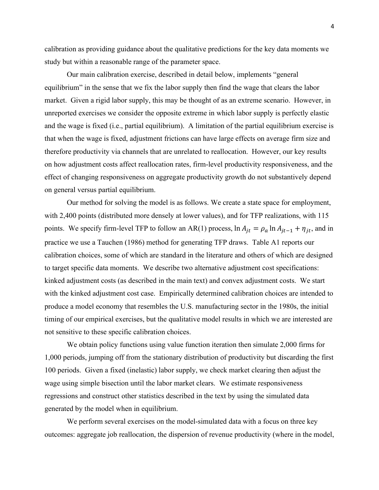calibration as providing guidance about the qualitative predictions for the key data moments we study but within a reasonable range of the parameter space.

Our main calibration exercise, described in detail below, implements "general equilibrium" in the sense that we fix the labor supply then find the wage that clears the labor market. Given a rigid labor supply, this may be thought of as an extreme scenario. However, in unreported exercises we consider the opposite extreme in which labor supply is perfectly elastic and the wage is fixed (i.e., partial equilibrium). A limitation of the partial equilibrium exercise is that when the wage is fixed, adjustment frictions can have large effects on average firm size and therefore productivity via channels that are unrelated to reallocation. However, our key results on how adjustment costs affect reallocation rates, firm-level productivity responsiveness, and the effect of changing responsiveness on aggregate productivity growth do not substantively depend on general versus partial equilibrium.

Our method for solving the model is as follows. We create a state space for employment, with 2,400 points (distributed more densely at lower values), and for TFP realizations, with 115 points. We specify firm-level TFP to follow an AR(1) process,  $\ln A_{it} = \rho_a \ln A_{it-1} + \eta_{it}$ , and in practice we use a Tauchen (1986) method for generating TFP draws. Table A1 reports our calibration choices, some of which are standard in the literature and others of which are designed to target specific data moments. We describe two alternative adjustment cost specifications: kinked adjustment costs (as described in the main text) and convex adjustment costs. We start with the kinked adjustment cost case. Empirically determined calibration choices are intended to produce a model economy that resembles the U.S. manufacturing sector in the 1980s, the initial timing of our empirical exercises, but the qualitative model results in which we are interested are not sensitive to these specific calibration choices.

We obtain policy functions using value function iteration then simulate 2,000 firms for 1,000 periods, jumping off from the stationary distribution of productivity but discarding the first 100 periods. Given a fixed (inelastic) labor supply, we check market clearing then adjust the wage using simple bisection until the labor market clears. We estimate responsiveness regressions and construct other statistics described in the text by using the simulated data generated by the model when in equilibrium.

We perform several exercises on the model-simulated data with a focus on three key outcomes: aggregate job reallocation, the dispersion of revenue productivity (where in the model,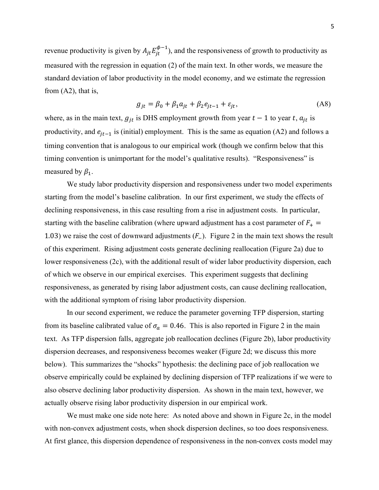revenue productivity is given by  $A_{jt} E_{jt}^{\phi-1}$ , and the responsiveness of growth to productivity as measured with the regression in equation (2) of the main text. In other words, we measure the standard deviation of labor productivity in the model economy, and we estimate the regression from (A2), that is,

$$
g_{jt} = \beta_0 + \beta_1 a_{jt} + \beta_2 e_{jt-1} + \varepsilon_{jt},\tag{A8}
$$

where, as in the main text,  $g_{jt}$  is DHS employment growth from year  $t - 1$  to year  $t$ ,  $a_{jt}$  is productivity, and  $e_{it-1}$  is (initial) employment. This is the same as equation (A2) and follows a timing convention that is analogous to our empirical work (though we confirm below that this timing convention is unimportant for the model's qualitative results). "Responsiveness" is measured by  $\beta_1$ .

We study labor productivity dispersion and responsiveness under two model experiments starting from the model's baseline calibration. In our first experiment, we study the effects of declining responsiveness, in this case resulting from a rise in adjustment costs. In particular, starting with the baseline calibration (where upward adjustment has a cost parameter of  $F_+$  = 1.03) we raise the cost of downward adjustments  $(F<sub>-</sub>)$ . Figure 2 in the main text shows the result of this experiment. Rising adjustment costs generate declining reallocation (Figure 2a) due to lower responsiveness (2c), with the additional result of wider labor productivity dispersion, each of which we observe in our empirical exercises. This experiment suggests that declining responsiveness, as generated by rising labor adjustment costs, can cause declining reallocation, with the additional symptom of rising labor productivity dispersion.

In our second experiment, we reduce the parameter governing TFP dispersion, starting from its baseline calibrated value of  $\sigma_a = 0.46$ . This is also reported in Figure 2 in the main text. As TFP dispersion falls, aggregate job reallocation declines (Figure 2b), labor productivity dispersion decreases, and responsiveness becomes weaker (Figure 2d; we discuss this more below). This summarizes the "shocks" hypothesis: the declining pace of job reallocation we observe empirically could be explained by declining dispersion of TFP realizations if we were to also observe declining labor productivity dispersion. As shown in the main text, however, we actually observe rising labor productivity dispersion in our empirical work.

We must make one side note here: As noted above and shown in Figure 2c, in the model with non-convex adjustment costs, when shock dispersion declines, so too does responsiveness. At first glance, this dispersion dependence of responsiveness in the non-convex costs model may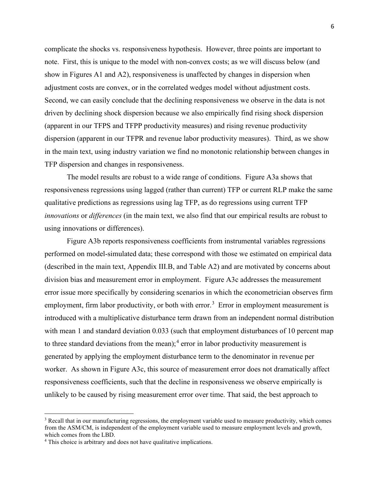complicate the shocks vs. responsiveness hypothesis. However, three points are important to note. First, this is unique to the model with non-convex costs; as we will discuss below (and show in Figures A1 and A2), responsiveness is unaffected by changes in dispersion when adjustment costs are convex, or in the correlated wedges model without adjustment costs. Second, we can easily conclude that the declining responsiveness we observe in the data is not driven by declining shock dispersion because we also empirically find rising shock dispersion (apparent in our TFPS and TFPP productivity measures) and rising revenue productivity dispersion (apparent in our TFPR and revenue labor productivity measures). Third, as we show in the main text, using industry variation we find no monotonic relationship between changes in TFP dispersion and changes in responsiveness.

The model results are robust to a wide range of conditions. Figure A3a shows that responsiveness regressions using lagged (rather than current) TFP or current RLP make the same qualitative predictions as regressions using lag TFP, as do regressions using current TFP *innovations* or *differences* (in the main text, we also find that our empirical results are robust to using innovations or differences).

Figure A3b reports responsiveness coefficients from instrumental variables regressions performed on model-simulated data; these correspond with those we estimated on empirical data (described in the main text, Appendix III.B, and Table A2) and are motivated by concerns about division bias and measurement error in employment. Figure A3c addresses the measurement error issue more specifically by considering scenarios in which the econometrician observes firm employment, firm labor productivity, or both with error.<sup>[3](#page-5-0)</sup> Error in employment measurement is introduced with a multiplicative disturbance term drawn from an independent normal distribution with mean 1 and standard deviation 0.033 (such that employment disturbances of 10 percent map to three standard deviations from the mean);<sup>[4](#page-5-1)</sup> error in labor productivity measurement is generated by applying the employment disturbance term to the denominator in revenue per worker. As shown in Figure A3c, this source of measurement error does not dramatically affect responsiveness coefficients, such that the decline in responsiveness we observe empirically is unlikely to be caused by rising measurement error over time. That said, the best approach to

<span id="page-5-0"></span><sup>&</sup>lt;sup>3</sup> Recall that in our manufacturing regressions, the employment variable used to measure productivity, which comes from the ASM/CM, is independent of the employment variable used to measure employment levels and growth, which comes from the LBD.

<span id="page-5-1"></span><sup>&</sup>lt;sup>4</sup> This choice is arbitrary and does not have qualitative implications.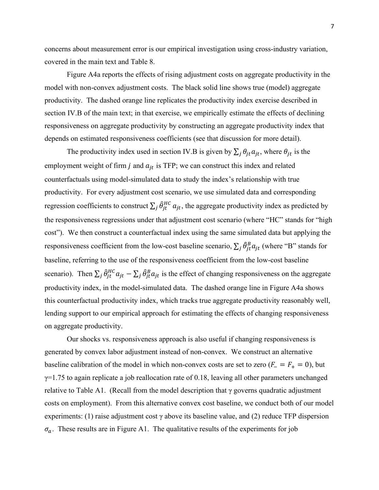concerns about measurement error is our empirical investigation using cross-industry variation, covered in the main text and Table 8.

Figure A4a reports the effects of rising adjustment costs on aggregate productivity in the model with non-convex adjustment costs. The black solid line shows true (model) aggregate productivity. The dashed orange line replicates the productivity index exercise described in section IV.B of the main text; in that exercise, we empirically estimate the effects of declining responsiveness on aggregate productivity by constructing an aggregate productivity index that depends on estimated responsiveness coefficients (see that discussion for more detail).

The productivity index used in section IV.B is given by  $\sum_i \theta_{it} a_{it}$ , where  $\theta_{it}$  is the employment weight of firm *j* and  $a_{it}$  is TFP; we can construct this index and related counterfactuals using model-simulated data to study the index's relationship with true productivity. For every adjustment cost scenario, we use simulated data and corresponding regression coefficients to construct  $\sum_j \hat{\theta}_{jt}^{HC} a_{jt}$ , the aggregate productivity index as predicted by the responsiveness regressions under that adjustment cost scenario (where "HC" stands for "high cost"). We then construct a counterfactual index using the same simulated data but applying the responsiveness coefficient from the low-cost baseline scenario,  $\sum_j \hat{\theta}^B_{jt} a_{jt}$  (where "B" stands for baseline, referring to the use of the responsiveness coefficient from the low-cost baseline scenario). Then  $\sum_j \hat{\theta}_{jt}^{HC} a_{jt} - \sum_j \hat{\theta}_{jt}^B a_{jt}$  is the effect of changing responsiveness on the aggregate productivity index, in the model-simulated data. The dashed orange line in Figure A4a shows this counterfactual productivity index, which tracks true aggregate productivity reasonably well, lending support to our empirical approach for estimating the effects of changing responsiveness on aggregate productivity.

Our shocks vs. responsiveness approach is also useful if changing responsiveness is generated by convex labor adjustment instead of non-convex. We construct an alternative baseline calibration of the model in which non-convex costs are set to zero ( $F = F_+ = 0$ ), but  $\gamma$ =1.75 to again replicate a job reallocation rate of 0.18, leaving all other parameters unchanged relative to Table A1. (Recall from the model description that  $\gamma$  governs quadratic adjustment costs on employment). From this alternative convex cost baseline, we conduct both of our model experiments: (1) raise adjustment cost  $\gamma$  above its baseline value, and (2) reduce TFP dispersion  $\sigma_a$ . These results are in Figure A1. The qualitative results of the experiments for job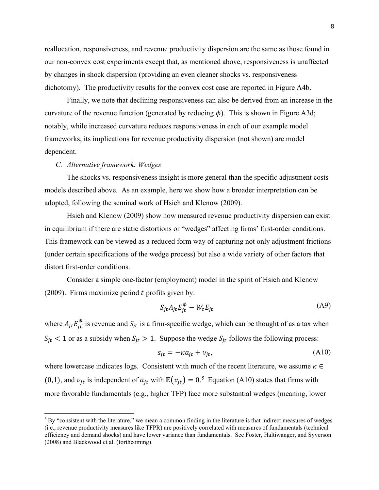reallocation, responsiveness, and revenue productivity dispersion are the same as those found in our non-convex cost experiments except that, as mentioned above, responsiveness is unaffected by changes in shock dispersion (providing an even cleaner shocks vs. responsiveness dichotomy). The productivity results for the convex cost case are reported in Figure A4b.

Finally, we note that declining responsiveness can also be derived from an increase in the curvature of the revenue function (generated by reducing  $\phi$ ). This is shown in Figure A3d; notably, while increased curvature reduces responsiveness in each of our example model frameworks, its implications for revenue productivity dispersion (not shown) are model dependent.

### *C. Alternative framework: Wedges*

The shocks vs. responsiveness insight is more general than the specific adjustment costs models described above. As an example, here we show how a broader interpretation can be adopted, following the seminal work of Hsieh and Klenow (2009).

Hsieh and Klenow (2009) show how measured revenue productivity dispersion can exist in equilibrium if there are static distortions or "wedges" affecting firms' first-order conditions. This framework can be viewed as a reduced form way of capturing not only adjustment frictions (under certain specifications of the wedge process) but also a wide variety of other factors that distort first-order conditions.

Consider a simple one-factor (employment) model in the spirit of Hsieh and Klenow (2009). Firms maximize period  $t$  profits given by:

$$
S_{jt} A_{jt} E_{jt}^{\phi} - W_t E_{jt}
$$
 (A9)

where  $A_{jt} E_{jt}^{\phi}$  is revenue and  $S_{jt}$  is a firm-specific wedge, which can be thought of as a tax when  $S_{jt}$  < 1 or as a subsidy when  $S_{jt}$  > 1. Suppose the wedge  $S_{jt}$  follows the following process:

$$
s_{jt} = -\kappa a_{jt} + v_{jt},\tag{A10}
$$

where lowercase indicates logs. Consistent with much of the recent literature, we assume  $\kappa \in \mathbb{Z}$ (0,1), and  $v_{jt}$  is independent of  $a_{jt}$  with  $\mathbb{E}(v_{jt}) = 0.5$  $\mathbb{E}(v_{jt}) = 0.5$  Equation (A10) states that firms with more favorable fundamentals (e.g., higher TFP) face more substantial wedges (meaning, lower

<span id="page-7-0"></span><sup>5</sup> By "consistent with the literature," we mean a common finding in the literature is that indirect measures of wedges (i.e., revenue productivity measures like TFPR) are positively correlated with measures of fundamentals (technical efficiency and demand shocks) and have lower variance than fundamentals. See Foster, Haltiwanger, and Syverson (2008) and Blackwood et al. (forthcoming).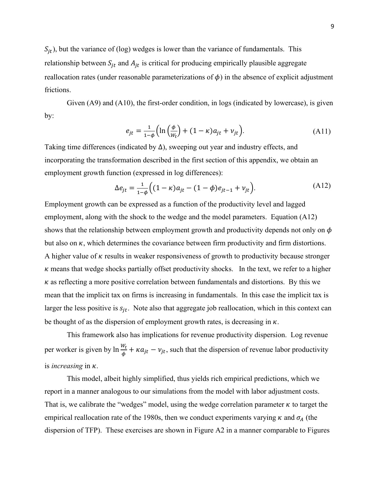$S_{jt}$ ), but the variance of (log) wedges is lower than the variance of fundamentals. This relationship between  $S_{jt}$  and  $A_{jt}$  is critical for producing empirically plausible aggregate reallocation rates (under reasonable parameterizations of  $\phi$ ) in the absence of explicit adjustment frictions.

Given  $(A9)$  and  $(A10)$ , the first-order condition, in logs (indicated by lowercase), is given by:

$$
e_{jt} = \frac{1}{1-\phi} \left( \ln \left( \frac{\phi}{w_t} \right) + (1-\kappa)a_{jt} + v_{jt} \right). \tag{A11}
$$

Taking time differences (indicated by  $\Delta$ ), sweeping out year and industry effects, and incorporating the transformation described in the first section of this appendix, we obtain an employment growth function (expressed in log differences):

$$
\Delta e_{jt} = \frac{1}{1-\phi} \Big( (1-\kappa)a_{jt} - (1-\phi)e_{jt-1} + v_{jt} \Big). \tag{A12}
$$

Employment growth can be expressed as a function of the productivity level and lagged employment, along with the shock to the wedge and the model parameters. Equation (A12) shows that the relationship between employment growth and productivity depends not only on  $\phi$ but also on  $\kappa$ , which determines the covariance between firm productivity and firm distortions. A higher value of  $\kappa$  results in weaker responsiveness of growth to productivity because stronger  $\kappa$  means that wedge shocks partially offset productivity shocks. In the text, we refer to a higher  $\kappa$  as reflecting a more positive correlation between fundamentals and distortions. By this we mean that the implicit tax on firms is increasing in fundamentals. In this case the implicit tax is larger the less positive is  $s_{it}$ . Note also that aggregate job reallocation, which in this context can be thought of as the dispersion of employment growth rates, is decreasing in  $\kappa$ .

This framework also has implications for revenue productivity dispersion. Log revenue per worker is given by  $\ln \frac{w_t}{\phi} + \kappa a_{jt} - v_{jt}$ , such that the dispersion of revenue labor productivity is *increasing* in  $\kappa$ .

This model, albeit highly simplified, thus yields rich empirical predictions, which we report in a manner analogous to our simulations from the model with labor adjustment costs. That is, we calibrate the "wedges" model, using the wedge correlation parameter  $\kappa$  to target the empirical reallocation rate of the 1980s, then we conduct experiments varying  $\kappa$  and  $\sigma_A$  (the dispersion of TFP). These exercises are shown in Figure A2 in a manner comparable to Figures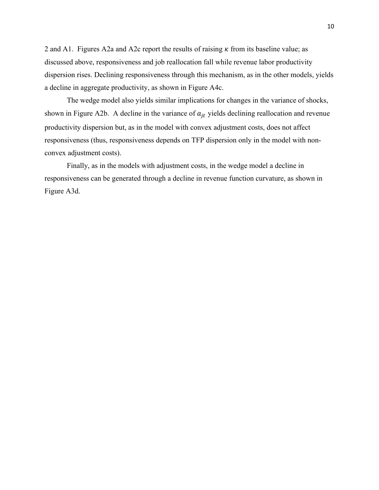2 and A1. Figures A2a and A2c report the results of raising  $\kappa$  from its baseline value; as discussed above, responsiveness and job reallocation fall while revenue labor productivity dispersion rises. Declining responsiveness through this mechanism, as in the other models, yields a decline in aggregate productivity, as shown in Figure A4c.

The wedge model also yields similar implications for changes in the variance of shocks, shown in Figure A2b. A decline in the variance of  $a_{it}$  yields declining reallocation and revenue productivity dispersion but, as in the model with convex adjustment costs, does not affect responsiveness (thus, responsiveness depends on TFP dispersion only in the model with nonconvex adjustment costs).

Finally, as in the models with adjustment costs, in the wedge model a decline in responsiveness can be generated through a decline in revenue function curvature, as shown in Figure A3d.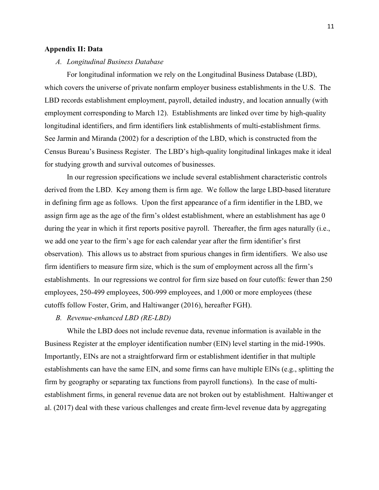## **Appendix II: Data**

#### *A. Longitudinal Business Database*

For longitudinal information we rely on the Longitudinal Business Database (LBD), which covers the universe of private nonfarm employer business establishments in the U.S. The LBD records establishment employment, payroll, detailed industry, and location annually (with employment corresponding to March 12). Establishments are linked over time by high-quality longitudinal identifiers, and firm identifiers link establishments of multi-establishment firms. See Jarmin and Miranda (2002) for a description of the LBD, which is constructed from the Census Bureau's Business Register. The LBD's high-quality longitudinal linkages make it ideal for studying growth and survival outcomes of businesses.

In our regression specifications we include several establishment characteristic controls derived from the LBD. Key among them is firm age. We follow the large LBD-based literature in defining firm age as follows. Upon the first appearance of a firm identifier in the LBD, we assign firm age as the age of the firm's oldest establishment, where an establishment has age 0 during the year in which it first reports positive payroll. Thereafter, the firm ages naturally (i.e., we add one year to the firm's age for each calendar year after the firm identifier's first observation). This allows us to abstract from spurious changes in firm identifiers. We also use firm identifiers to measure firm size, which is the sum of employment across all the firm's establishments. In our regressions we control for firm size based on four cutoffs: fewer than 250 employees, 250-499 employees, 500-999 employees, and 1,000 or more employees (these cutoffs follow Foster, Grim, and Haltiwanger (2016), hereafter FGH).

## *B. Revenue-enhanced LBD (RE-LBD)*

While the LBD does not include revenue data, revenue information is available in the Business Register at the employer identification number (EIN) level starting in the mid-1990s. Importantly, EINs are not a straightforward firm or establishment identifier in that multiple establishments can have the same EIN, and some firms can have multiple EINs (e.g., splitting the firm by geography or separating tax functions from payroll functions). In the case of multiestablishment firms, in general revenue data are not broken out by establishment. Haltiwanger et al. (2017) deal with these various challenges and create firm-level revenue data by aggregating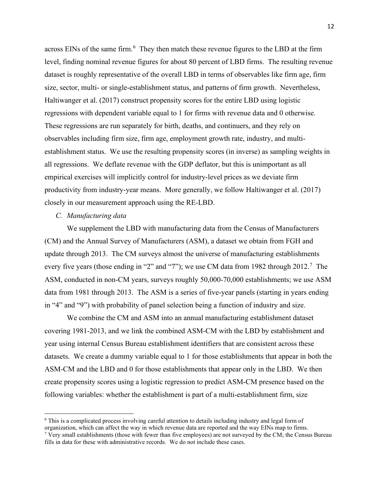across EINs of the same firm.<sup>[6](#page-11-0)</sup> They then match these revenue figures to the LBD at the firm level, finding nominal revenue figures for about 80 percent of LBD firms. The resulting revenue dataset is roughly representative of the overall LBD in terms of observables like firm age, firm size, sector, multi- or single-establishment status, and patterns of firm growth. Nevertheless, Haltiwanger et al. (2017) construct propensity scores for the entire LBD using logistic regressions with dependent variable equal to 1 for firms with revenue data and 0 otherwise. These regressions are run separately for birth, deaths, and continuers, and they rely on observables including firm size, firm age, employment growth rate, industry, and multiestablishment status. We use the resulting propensity scores (in inverse) as sampling weights in all regressions. We deflate revenue with the GDP deflator, but this is unimportant as all empirical exercises will implicitly control for industry-level prices as we deviate firm productivity from industry-year means. More generally, we follow Haltiwanger et al. (2017) closely in our measurement approach using the RE-LBD.

## *C. Manufacturing data*

We supplement the LBD with manufacturing data from the Census of Manufacturers (CM) and the Annual Survey of Manufacturers (ASM), a dataset we obtain from FGH and update through 2013. The CM surveys almost the universe of manufacturing establishments every five years (those ending in "2" and "[7](#page-11-1)"); we use CM data from 1982 through  $2012$ .<sup>7</sup> The ASM, conducted in non-CM years, surveys roughly 50,000-70,000 establishments; we use ASM data from 1981 through 2013. The ASM is a series of five-year panels (starting in years ending in "4" and "9") with probability of panel selection being a function of industry and size.

We combine the CM and ASM into an annual manufacturing establishment dataset covering 1981-2013, and we link the combined ASM-CM with the LBD by establishment and year using internal Census Bureau establishment identifiers that are consistent across these datasets. We create a dummy variable equal to 1 for those establishments that appear in both the ASM-CM and the LBD and 0 for those establishments that appear only in the LBD. We then create propensity scores using a logistic regression to predict ASM-CM presence based on the following variables: whether the establishment is part of a multi-establishment firm, size

<span id="page-11-0"></span><sup>6</sup> This is a complicated process involving careful attention to details including industry and legal form of

organization, which can affect the way in which revenue data are reported and the way EINs map to firms.

<span id="page-11-1"></span> $7$  Very small establishments (those with fewer than five employees) are not surveyed by the CM; the Census Bureau fills in data for these with administrative records. We do not include these cases.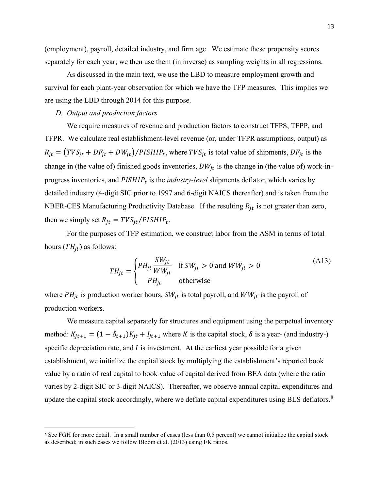(employment), payroll, detailed industry, and firm age. We estimate these propensity scores separately for each year; we then use them (in inverse) as sampling weights in all regressions.

As discussed in the main text, we use the LBD to measure employment growth and survival for each plant-year observation for which we have the TFP measures. This implies we are using the LBD through 2014 for this purpose.

## *D. Output and production factors*

We require measures of revenue and production factors to construct TFPS, TFPP, and TFPR. We calculate real establishment-level revenue (or, under TFPR assumptions, output) as  $R_{jt} = (TVS_{jt} + DF_{jt} + DW_{jt})/PISHIP_t$ , where  $TVS_{jt}$  is total value of shipments,  $DF_{jt}$  is the change in (the value of) finished goods inventories,  $DW_{it}$  is the change in (the value of) work-inprogress inventories, and  $PISHIP<sub>t</sub>$  is the *industry-level* shipments deflator, which varies by detailed industry (4-digit SIC prior to 1997 and 6-digit NAICS thereafter) and is taken from the NBER-CES Manufacturing Productivity Database. If the resulting  $R_{it}$  is not greater than zero, then we simply set  $R_{it} = TVS_{it}/PISHIP_t$ .

For the purposes of TFP estimation, we construct labor from the ASM in terms of total hours  $(TH_{it})$  as follows:

$$
TH_{jt} = \begin{cases} PH_{jt} \frac{SW_{jt}}{WW_{jt}} & \text{if } SW_{jt} > 0 \text{ and } WW_{jt} > 0\\ PH_{jt} & \text{otherwise} \end{cases}
$$
 (A13)

where  $PH_{jt}$  is production worker hours,  $SW_{jt}$  is total payroll, and  $WW_{jt}$  is the payroll of production workers.

We measure capital separately for structures and equipment using the perpetual inventory method:  $K_{jt+1} = (1 - \delta_{t+1})K_{jt} + I_{jt+1}$  where K is the capital stock,  $\delta$  is a year- (and industry-) specific depreciation rate, and  $I$  is investment. At the earliest year possible for a given establishment, we initialize the capital stock by multiplying the establishment's reported book value by a ratio of real capital to book value of capital derived from BEA data (where the ratio varies by 2-digit SIC or 3-digit NAICS). Thereafter, we observe annual capital expenditures and update the capital stock accordingly, where we deflate capital expenditures using BLS deflators.<sup>[8](#page-12-0)</sup>

<span id="page-12-0"></span><sup>&</sup>lt;sup>8</sup> See FGH for more detail. In a small number of cases (less than 0.5 percent) we cannot initialize the capital stock as described; in such cases we follow Bloom et al. (2013) using I/K ratios.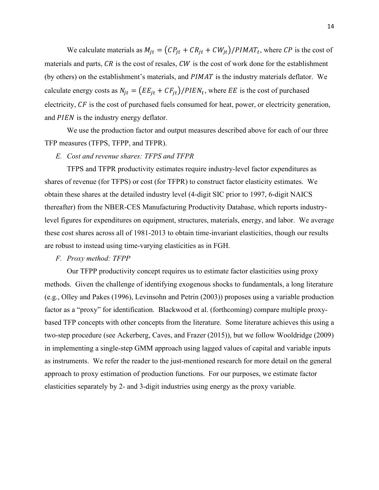We calculate materials as  $M_{it} = (CP_{it} + CR_{it} + CW_{it})/PIMAT_t$ , where CP is the cost of materials and parts,  $CR$  is the cost of resales,  $CW$  is the cost of work done for the establishment (by others) on the establishment's materials, and  $PIMAT$  is the industry materials deflator. We calculate energy costs as  $N_{jt} = (EE_{jt} + CF_{jt})/PIEN_t$ , where EE is the cost of purchased electricity,  $CF$  is the cost of purchased fuels consumed for heat, power, or electricity generation, and *PIEN* is the industry energy deflator.

We use the production factor and output measures described above for each of our three TFP measures (TFPS, TFPP, and TFPR).

#### *E. Cost and revenue shares: TFPS and TFPR*

TFPS and TFPR productivity estimates require industry-level factor expenditures as shares of revenue (for TFPS) or cost (for TFPR) to construct factor elasticity estimates. We obtain these shares at the detailed industry level (4-digit SIC prior to 1997, 6-digit NAICS thereafter) from the NBER-CES Manufacturing Productivity Database, which reports industrylevel figures for expenditures on equipment, structures, materials, energy, and labor. We average these cost shares across all of 1981-2013 to obtain time-invariant elasticities, though our results are robust to instead using time-varying elasticities as in FGH.

### *F. Proxy method: TFPP*

Our TFPP productivity concept requires us to estimate factor elasticities using proxy methods. Given the challenge of identifying exogenous shocks to fundamentals, a long literature (e.g., Olley and Pakes (1996), Levinsohn and Petrin (2003)) proposes using a variable production factor as a "proxy" for identification. Blackwood et al. (forthcoming) compare multiple proxybased TFP concepts with other concepts from the literature. Some literature achieves this using a two-step procedure (see Ackerberg, Caves, and Frazer (2015)), but we follow Wooldridge (2009) in implementing a single-step GMM approach using lagged values of capital and variable inputs as instruments. We refer the reader to the just-mentioned research for more detail on the general approach to proxy estimation of production functions. For our purposes, we estimate factor elasticities separately by 2- and 3-digit industries using energy as the proxy variable.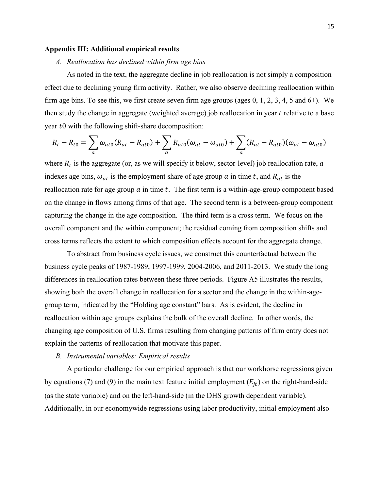## **Appendix III: Additional empirical results**

## *A. Reallocation has declined within firm age bins*

As noted in the text, the aggregate decline in job reallocation is not simply a composition effect due to declining young firm activity. Rather, we also observe declining reallocation within firm age bins. To see this, we first create seven firm age groups (ages 0, 1, 2, 3, 4, 5 and 6+). We then study the change in aggregate (weighted average) job reallocation in year t relative to a base year  $t0$  with the following shift-share decomposition:

$$
R_t - R_{t0} = \sum_a \omega_{at0} (R_{at} - R_{at0}) + \sum_a R_{at0} (\omega_{at} - \omega_{at0}) + \sum_a (R_{at} - R_{at0}) (\omega_{at} - \omega_{at0})
$$

where  $R_t$  is the aggregate (or, as we will specify it below, sector-level) job reallocation rate,  $a$ indexes age bins,  $\omega_{at}$  is the employment share of age group  $\alpha$  in time t, and  $R_{at}$  is the reallocation rate for age group  $a$  in time  $t$ . The first term is a within-age-group component based on the change in flows among firms of that age. The second term is a between-group component capturing the change in the age composition. The third term is a cross term. We focus on the overall component and the within component; the residual coming from composition shifts and cross terms reflects the extent to which composition effects account for the aggregate change.

To abstract from business cycle issues, we construct this counterfactual between the business cycle peaks of 1987-1989, 1997-1999, 2004-2006, and 2011-2013. We study the long differences in reallocation rates between these three periods. Figure A5 illustrates the results, showing both the overall change in reallocation for a sector and the change in the within-agegroup term, indicated by the "Holding age constant" bars. As is evident, the decline in reallocation within age groups explains the bulk of the overall decline. In other words, the changing age composition of U.S. firms resulting from changing patterns of firm entry does not explain the patterns of reallocation that motivate this paper.

#### *B. Instrumental variables: Empirical results*

A particular challenge for our empirical approach is that our workhorse regressions given by equations (7) and (9) in the main text feature initial employment  $(E_{it})$  on the right-hand-side (as the state variable) and on the left-hand-side (in the DHS growth dependent variable). Additionally, in our economywide regressions using labor productivity, initial employment also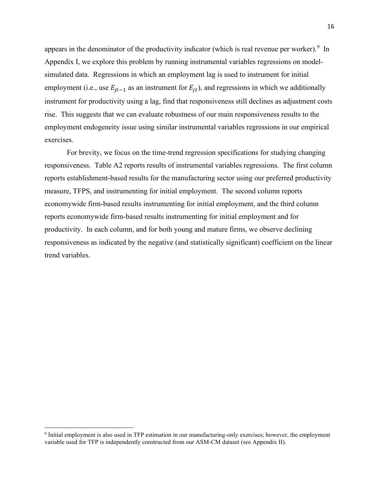appears in the denominator of the productivity indicator (which is real revenue per worker).  $9 \text{ In }$  $9 \text{ In }$ Appendix I, we explore this problem by running instrumental variables regressions on modelsimulated data. Regressions in which an employment lag is used to instrument for initial employment (i.e., use  $E_{it-1}$  as an instrument for  $E_{it}$ ), and regressions in which we additionally instrument for productivity using a lag, find that responsiveness still declines as adjustment costs rise. This suggests that we can evaluate robustness of our main responsiveness results to the employment endogeneity issue using similar instrumental variables regressions in our empirical exercises.

For brevity, we focus on the time-trend regression specifications for studying changing responsiveness. Table A2 reports results of instrumental variables regressions. The first column reports establishment-based results for the manufacturing sector using our preferred productivity measure, TFPS, and instrumenting for initial employment. The second column reports economywide firm-based results instrumenting for initial employment, and the third column reports economywide firm-based results instrumenting for initial employment and for productivity. In each column, and for both young and mature firms, we observe declining responsiveness as indicated by the negative (and statistically significant) coefficient on the linear trend variables.

<span id="page-15-0"></span><sup>&</sup>lt;sup>9</sup> Initial employment is also used in TFP estimation in our manufacturing-only exercises; however, the employment variable used for TFP is independently constructed from our ASM-CM dataset (see Appendix II).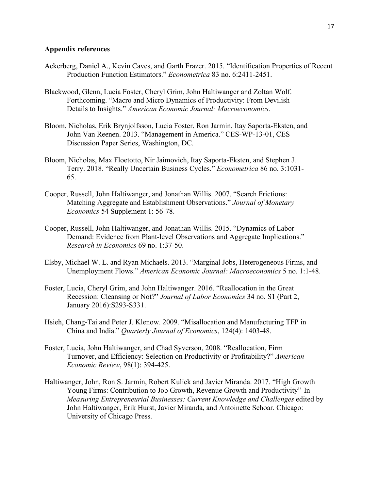### **Appendix references**

- Ackerberg, Daniel A., Kevin Caves, and Garth Frazer. 2015. "Identification Properties of Recent Production Function Estimators." *Econometrica* 83 no. 6:2411-2451.
- Blackwood, Glenn, Lucia Foster, Cheryl Grim, John Haltiwanger and Zoltan Wolf. Forthcoming. "Macro and Micro Dynamics of Productivity: From Devilish Details to Insights." *American Economic Journal: Macroeconomics.*
- Bloom, Nicholas, Erik Brynjolfsson, Lucia Foster, Ron Jarmin, Itay Saporta-Eksten, and John Van Reenen. 2013. "Management in America." CES-WP-13-01, CES Discussion Paper Series, Washington, DC.
- Bloom, Nicholas, Max Floetotto, Nir Jaimovich, Itay Saporta-Eksten, and Stephen J. Terry. 2018. "Really Uncertain Business Cycles." *Econometrica* 86 no. 3:1031- 65.
- Cooper, Russell, John Haltiwanger, and Jonathan Willis. 2007. "Search Frictions: Matching Aggregate and Establishment Observations." *Journal of Monetary Economics* 54 Supplement 1: 56-78.
- Cooper, Russell, John Haltiwanger, and Jonathan Willis. 2015. "Dynamics of Labor Demand: Evidence from Plant-level Observations and Aggregate Implications." *Research in Economics* 69 no. 1:37-50.
- Elsby, Michael W. L. and Ryan Michaels. 2013. "Marginal Jobs, Heterogeneous Firms, and Unemployment Flows." *American Economic Journal: Macroeconomics* 5 no. 1:1-48.
- Foster, Lucia, Cheryl Grim, and John Haltiwanger. 2016. "Reallocation in the Great Recession: Cleansing or Not?" *Journal of Labor Economics* 34 no. S1 (Part 2, January 2016):S293-S331.
- Hsieh, Chang-Tai and Peter J. Klenow. 2009. "Misallocation and Manufacturing TFP in China and India." *Quarterly Journal of Economics*, 124(4): 1403-48.
- Foster, Lucia, John Haltiwanger, and Chad Syverson, 2008. "Reallocation, Firm Turnover, and Efficiency: Selection on Productivity or Profitability?" *American Economic Review*, 98(1): 394-425.
- Haltiwanger, John, Ron S. Jarmin, Robert Kulick and Javier Miranda. 2017. "High Growth Young Firms: Contribution to Job Growth, Revenue Growth and Productivity" In *Measuring Entrepreneurial Businesses: Current Knowledge and Challenges* edited by John Haltiwanger, Erik Hurst, Javier Miranda, and Antoinette Schoar. Chicago: University of Chicago Press.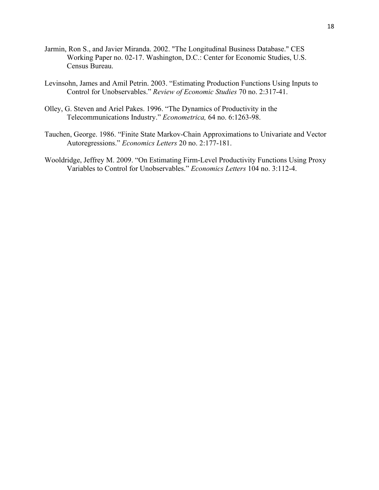- Jarmin, Ron S., and Javier Miranda. 2002. "The Longitudinal Business Database." CES Working Paper no. 02-17. Washington, D.C.: Center for Economic Studies, U.S. Census Bureau.
- Levinsohn, James and Amil Petrin. 2003. "Estimating Production Functions Using Inputs to Control for Unobservables." *Review of Economic Studies* 70 no. 2:317-41.
- Olley, G. Steven and Ariel Pakes. 1996. "The Dynamics of Productivity in the Telecommunications Industry." *Econometrica,* 64 no. 6:1263-98.
- Tauchen, George. 1986. "Finite State Markov-Chain Approximations to Univariate and Vector Autoregressions." *Economics Letters* 20 no. 2:177-181.
- Wooldridge, Jeffrey M. 2009. "On Estimating Firm-Level Productivity Functions Using Proxy Variables to Control for Unobservables." *Economics Letters* 104 no. 3:112-4.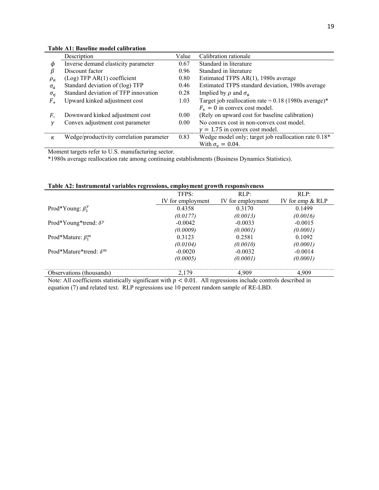|              | Description                          | Value | Calibration rationale                                  |  |
|--------------|--------------------------------------|-------|--------------------------------------------------------|--|
| φ            | Inverse demand elasticity parameter  | 0.67  | Standard in literature                                 |  |
| β            | Discount factor                      | 0.96  | Standard in literature                                 |  |
| $\rho_a$     | (Log) TFP AR(1) coefficient          | 0.80  | Estimated TFPS AR(1), 1980s average                    |  |
| $\sigma_a$   | Standard deviation of (log) TFP      | 0.46  | Estimated TFPS standard deviation, 1980s average       |  |
| $\sigma_n$   | Standard deviation of TFP innovation | 0.28  | Implied by $\rho$ and $\sigma_a$                       |  |
| $F_{\perp}$  | Upward kinked adjustment cost        | 1.03  | Target job reallocation rate = $0.18$ (1980s average)* |  |
|              |                                      |       | $F_+ = 0$ in convex cost model.                        |  |
| F_           | Downward kinked adjustment cost      | 0.00  | (Rely on upward cost for baseline calibration)         |  |
| $\mathcal V$ | Convex adjustment cost parameter     | 0.00  | No convex cost in non-convex cost model.               |  |
|              |                                      |       | $\gamma = 1.75$ in convex cost model.                  |  |

 $\kappa$  Wedge/productivity correlation parameter 0.83 Wedge model only; target job reallocation rate 0.18\*

With  $\sigma_{v} = 0.04$ .

#### **Table A1: Baseline model calibration**

Moment targets refer to U.S. manufacturing sector.

\*1980s average reallocation rate among continuing establishments (Business Dynamics Statistics).

| raoic ris, mon umentar variables regressions, employment growth responsiveness |                   |                   |                    |  |
|--------------------------------------------------------------------------------|-------------------|-------------------|--------------------|--|
|                                                                                | TFPS:             | RLP:              | RLP:               |  |
|                                                                                | IV for employment | IV for employment | IV for emp $& RLP$ |  |
| Prod*Young: $\beta_1^y$                                                        | 0.4358            | 0.3170            | 0.1499             |  |
|                                                                                | (0.0177)          | (0.0013)          | (0.0016)           |  |
| Prod*Young*trend: $\delta^y$                                                   | $-0.0042$         | $-0.0033$         | $-0.0015$          |  |
|                                                                                | (0.0009)          | (0.0001)          | (0.0001)           |  |
| Prod*Mature: $\beta_1^m$                                                       | 0.3123            | 0.2581            | 0.1092             |  |
|                                                                                | (0.0104)          | (0.0010)          | (0.0001)           |  |
| Prod*Mature*trend: $\delta^m$                                                  | $-0.0020$         | $-0.0032$         | $-0.0014$          |  |
|                                                                                | (0.0005)          | (0.0001)          | (0.0001)           |  |
| Observations (thousands)                                                       | 2.179             | 4.909             | 4.909              |  |

#### **Table A2: Instrumental variables regressions, employment growth responsiveness**

Note: All coefficients statistically significant with  $p < 0.01$ . All regressions include controls described in equation (7) and related text. RLP regressions use 10 percent random sample of RE-LBD.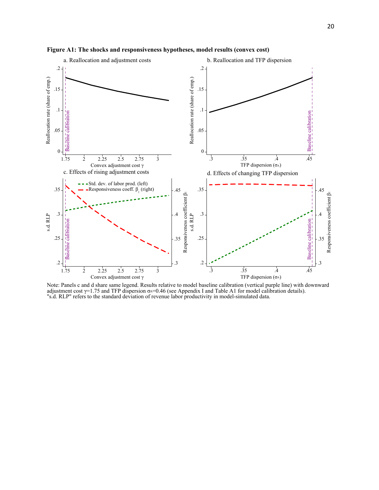

**Figure A1: The shocks and responsiveness hypotheses, model results (convex cost)**

Note: Panels c and d share same legend. Results relative to model baseline calibration (vertical purple line) with downward adjustment cost  $\gamma$ =1.75 and TFP dispersion σ $\alpha$ =0.46 (see Appendix I and Table A1 for model calibration details). "s.d. RLP" refers to the standard deviation of revenue labor productivity in model-simulated data.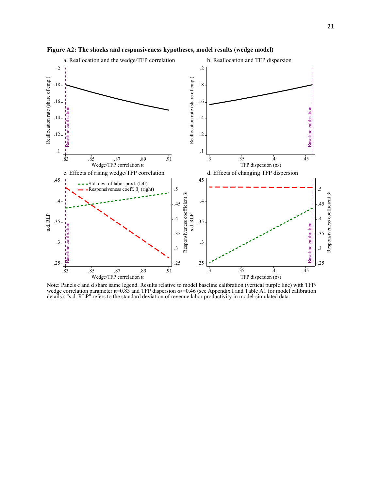

**Figure A2: The shocks and responsiveness hypotheses, model results (wedge model)**

Note: Panels c and d share same legend. Results relative to model baseline calibration (vertical purple line) with TFP/ wedge correlation parameter  $\kappa$ =0.83 and TFP dispersion  $\sigma$ A=0.46 (see Appendix I and Table A1 for model calibration details). "s.d. RLP" refers to the standard deviation of revenue labor productivity in model-simulated data.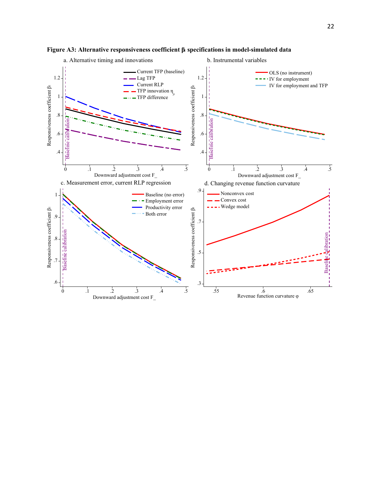